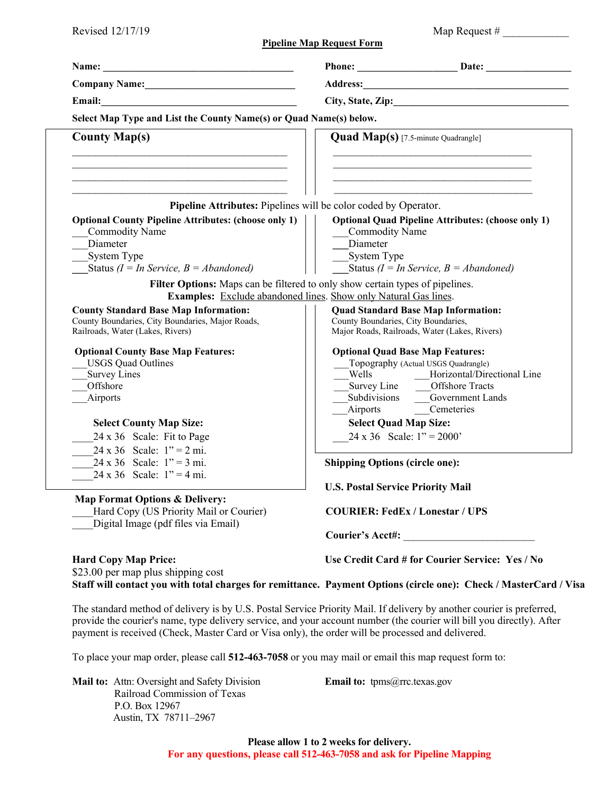| Revised 12/17/19                                                                                                                                                                           |                                                                                                                                                                                                                          |
|--------------------------------------------------------------------------------------------------------------------------------------------------------------------------------------------|--------------------------------------------------------------------------------------------------------------------------------------------------------------------------------------------------------------------------|
|                                                                                                                                                                                            | <b>Pipeline Map Request Form</b>                                                                                                                                                                                         |
|                                                                                                                                                                                            | Phone: Date: Date:                                                                                                                                                                                                       |
| Company Name: 1988                                                                                                                                                                         |                                                                                                                                                                                                                          |
|                                                                                                                                                                                            | City, State, Zip:                                                                                                                                                                                                        |
| Select Map Type and List the County Name(s) or Quad Name(s) below.                                                                                                                         |                                                                                                                                                                                                                          |
| <b>County Map(s)</b>                                                                                                                                                                       | <b>Quad Map(s)</b> [7.5-minute Quadrangle]                                                                                                                                                                               |
| the control of the control of the control of the control of the control of the control of the control of the control of<br>Pipeline Attributes: Pipelines will be color coded by Operator. | the control of the control of the control of the control of the control of the control of the control of                                                                                                                 |
| <b>Optional County Pipeline Attributes: (choose only 1)</b><br><b>Commodity Name</b><br>Diameter<br>System Type<br>Status ( $I = In Service, B = Abandoned$ )                              | <b>Optional Quad Pipeline Attributes: (choose only 1)</b><br><b>Commodity Name</b><br>Diameter<br>System Type<br>Status ( $I = In Service, B = Abandoned$ )                                                              |
|                                                                                                                                                                                            | Filter Options: Maps can be filtered to only show certain types of pipelines.<br><b>Examples:</b> Exclude abandoned lines. Show only Natural Gas lines.                                                                  |
| <b>County Standard Base Map Information:</b><br>County Boundaries, City Boundaries, Major Roads,<br>Railroads, Water (Lakes, Rivers)                                                       | <b>Quad Standard Base Map Information:</b><br>County Boundaries, City Boundaries,<br>Major Roads, Railroads, Water (Lakes, Rivers)                                                                                       |
| <b>Optional County Base Map Features:</b><br><b>USGS Quad Outlines</b><br><b>Survey Lines</b><br>Offshore<br>Airports                                                                      | <b>Optional Quad Base Map Features:</b><br>Topography (Actual USGS Quadrangle)<br>Wells<br>Horizontal/Directional Line<br>Survey Line _____Offshore Tracts<br>Subdivisions<br>Government Lands<br>Airports<br>Cemeteries |
| <b>Select County Map Size:</b><br>24 x 36 Scale: Fit to Page<br>$24 \times 36$ Scale: $1" = 2$ mi.                                                                                         | <b>Select Quad Map Size:</b><br>$24 \times 36$ Scale: $1'' = 2000'$                                                                                                                                                      |
| $24 \times 36$ Scale: $1" = 3$ mi.<br>24 x 36 Scale: $1" = 4$ mi.                                                                                                                          | <b>Shipping Options (circle one):</b><br><b>U.S. Postal Service Priority Mail</b>                                                                                                                                        |
| <b>Map Format Options &amp; Delivery:</b><br>Hard Copy (US Priority Mail or Courier)<br>Digital Image (pdf files via Email)                                                                | <b>COURIER: FedEx / Lonestar / UPS</b>                                                                                                                                                                                   |
|                                                                                                                                                                                            | Courier's Acct#:                                                                                                                                                                                                         |
| <b>Hard Copy Map Price:</b><br>$$22.00$ normon plue chinning goot                                                                                                                          | Use Credit Card # for Courier Service: Yes / No                                                                                                                                                                          |

\$23.00 per map plus shipping cost **Staff will contact you with total charges for remittance. Payment Options (circle one): Check / MasterCard / Visa** 

The standard method of delivery is by U.S. Postal Service Priority Mail. If delivery by another courier is preferred, provide the courier's name, type delivery service, and your account number (the courier will bill you directly). After payment is received (Check, Master Card or Visa only), the order will be processed and delivered.

To place your map order, please call **512-463-7058** or you may mail or email this map request form to:

**Mail to:** Attn: Oversight and Safety Division **Email to:** tpms@rrc.texas.gov Railroad Commission of Texas P.O. Box 12967 Austin, TX 78711–2967